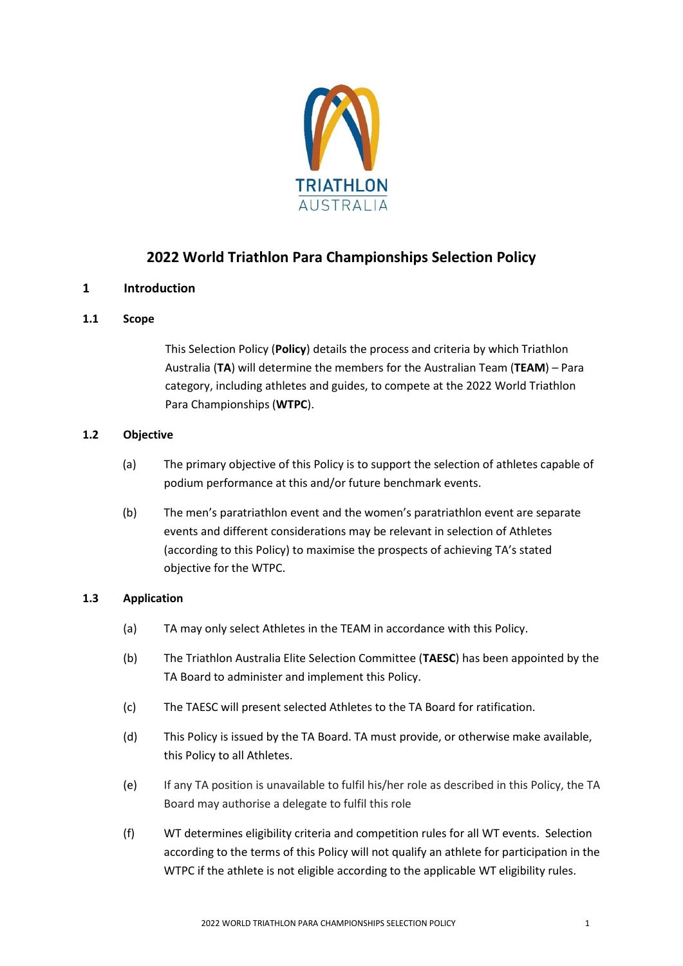

# **2022 World Triathlon Para Championships Selection Policy**

# **1 Introduction**

# **1.1 Scope**

This Selection Policy (**Policy**) details the process and criteria by which Triathlon Australia (**TA**) will determine the members for the Australian Team (**TEAM**) – Para category, including athletes and guides, to compete at the 2022 World Triathlon Para Championships (**WTPC**).

## **1.2 Objective**

- (a) The primary objective of this Policy is to support the selection of athletes capable of podium performance at this and/or future benchmark events.
- (b) The men's paratriathlon event and the women's paratriathlon event are separate events and different considerations may be relevant in selection of Athletes (according to this Policy) to maximise the prospects of achieving TA's stated objective for the WTPC.

### **1.3 Application**

- (a) TA may only select Athletes in the TEAM in accordance with this Policy.
- (b) The Triathlon Australia Elite Selection Committee (**TAESC**) has been appointed by the TA Board to administer and implement this Policy.
- (c) The TAESC will present selected Athletes to the TA Board for ratification.
- (d) This Policy is issued by the TA Board. TA must provide, or otherwise make available, this Policy to all Athletes.
- (e) If any TA position is unavailable to fulfil his/her role as described in this Policy, the TA Board may authorise a delegate to fulfil this role
- (f) WT determines eligibility criteria and competition rules for all WT events. Selection according to the terms of this Policy will not qualify an athlete for participation in the WTPC if the athlete is not eligible according to the applicable WT eligibility rules.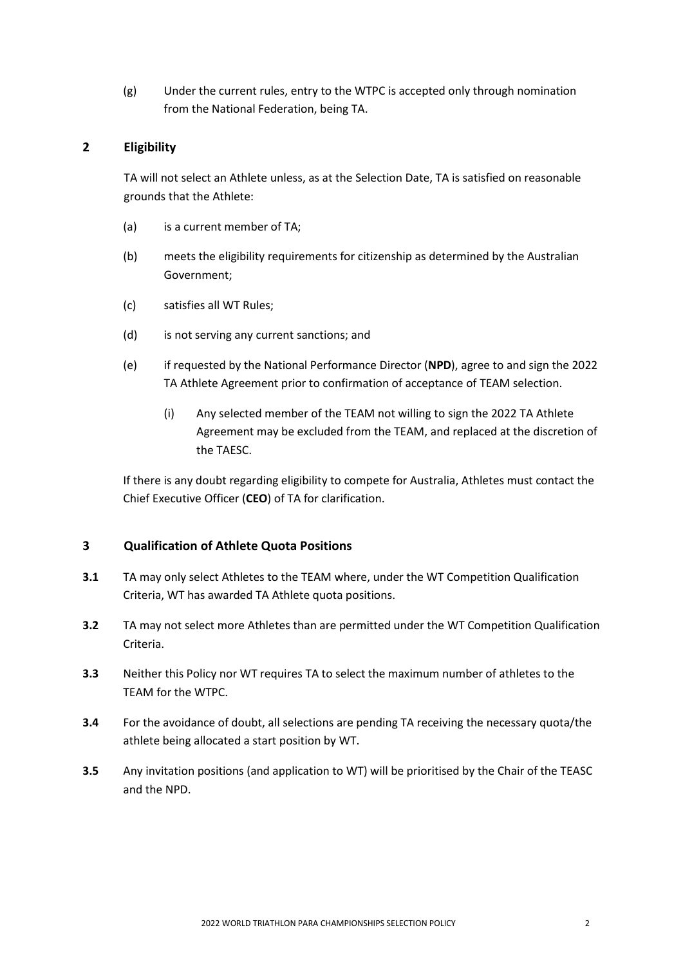(g) Under the current rules, entry to the WTPC is accepted only through nomination from the National Federation, being TA.

# **2 Eligibility**

TA will not select an Athlete unless, as at the Selection Date, TA is satisfied on reasonable grounds that the Athlete:

- (a) is a current member of TA;
- (b) meets the eligibility requirements for citizenship as determined by the Australian Government;
- (c) satisfies all WT Rules;
- (d) is not serving any current sanctions; and
- (e) if requested by the National Performance Director (**NPD**), agree to and sign the 2022 TA Athlete Agreement prior to confirmation of acceptance of TEAM selection.
	- (i) Any selected member of the TEAM not willing to sign the 2022 TA Athlete Agreement may be excluded from the TEAM, and replaced at the discretion of the TAESC.

If there is any doubt regarding eligibility to compete for Australia, Athletes must contact the Chief Executive Officer (**CEO**) of TA for clarification.

# **3 Qualification of Athlete Quota Positions**

- **3.1** TA may only select Athletes to the TEAM where, under the WT Competition Qualification Criteria, WT has awarded TA Athlete quota positions.
- **3.2** TA may not select more Athletes than are permitted under the WT Competition Qualification Criteria.
- **3.3** Neither this Policy nor WT requires TA to select the maximum number of athletes to the TEAM for the WTPC.
- **3.4** For the avoidance of doubt, all selections are pending TA receiving the necessary quota/the athlete being allocated a start position by WT.
- **3.5** Any invitation positions (and application to WT) will be prioritised by the Chair of the TEASC and the NPD.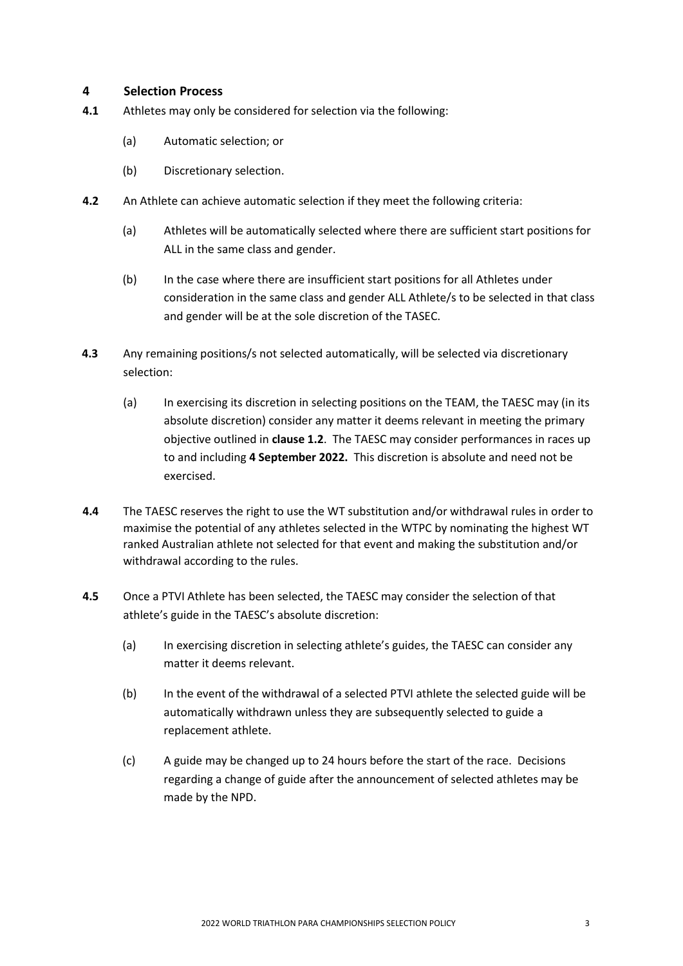### **4 Selection Process**

- **4.1** Athletes may only be considered for selection via the following:
	- (a) Automatic selection; or
	- (b) Discretionary selection.
- **4.2** An Athlete can achieve automatic selection if they meet the following criteria:
	- (a) Athletes will be automatically selected where there are sufficient start positions for ALL in the same class and gender.
	- (b) In the case where there are insufficient start positions for all Athletes under consideration in the same class and gender ALL Athlete/s to be selected in that class and gender will be at the sole discretion of the TASEC.
- **4.3** Any remaining positions/s not selected automatically, will be selected via discretionary selection:
	- (a) In exercising its discretion in selecting positions on the TEAM, the TAESC may (in its absolute discretion) consider any matter it deems relevant in meeting the primary objective outlined in **clause 1.2**. The TAESC may consider performances in races up to and including **4 September 2022.** This discretion is absolute and need not be exercised.
- **4.4** The TAESC reserves the right to use the WT substitution and/or withdrawal rules in order to maximise the potential of any athletes selected in the WTPC by nominating the highest WT ranked Australian athlete not selected for that event and making the substitution and/or withdrawal according to the rules.
- **4.5** Once a PTVI Athlete has been selected, the TAESC may consider the selection of that athlete's guide in the TAESC's absolute discretion:
	- (a) In exercising discretion in selecting athlete's guides, the TAESC can consider any matter it deems relevant.
	- (b) In the event of the withdrawal of a selected PTVI athlete the selected guide will be automatically withdrawn unless they are subsequently selected to guide a replacement athlete.
	- (c) A guide may be changed up to 24 hours before the start of the race. Decisions regarding a change of guide after the announcement of selected athletes may be made by the NPD.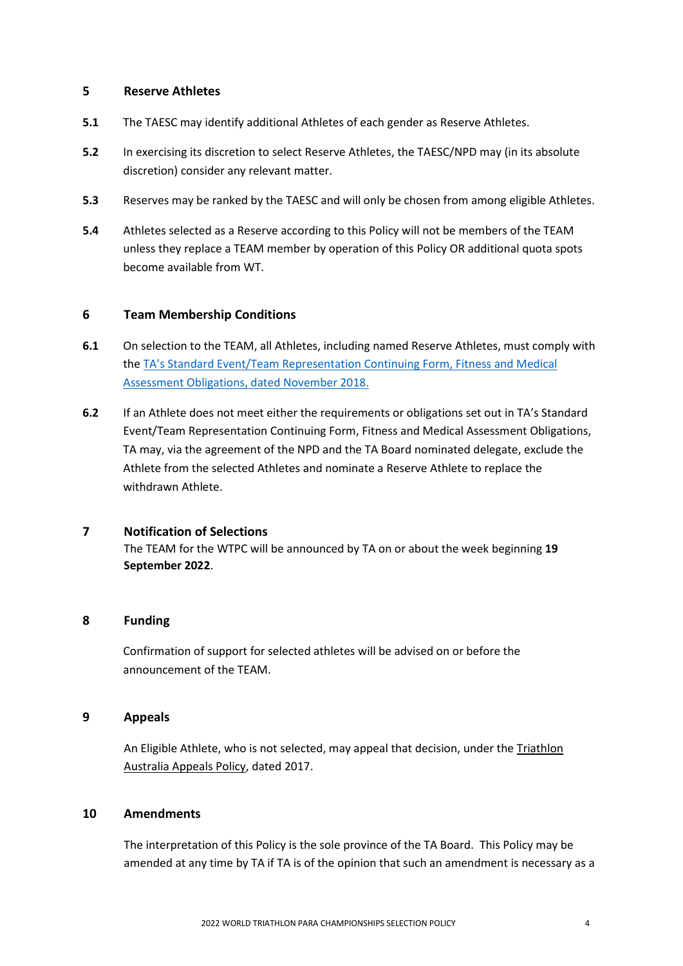#### **5 Reserve Athletes**

- **5.1** The TAESC may identify additional Athletes of each gender as Reserve Athletes.
- **5.2** In exercising its discretion to select Reserve Athletes, the TAESC/NPD may (in its absolute discretion) consider any relevant matter.
- **5.3** Reserves may be ranked by the TAESC and will only be chosen from among eligible Athletes.
- **5.4** Athletes selected as a Reserve according to this Policy will not be members of the TEAM unless they replace a TEAM member by operation of this Policy OR additional quota spots become available from WT.

#### **6 Team Membership Conditions**

- **6.1** On selection to the TEAM, all Athletes, including named Reserve Athletes, must comply with the TA's Standard Event/Team Rep[resentation Continuing Form, Fitness and Medical](http://www.triathlon.org.au/Assets/Triathlon+Australia+Digital+Assets/Athlete+Fitness+and+Medical+Obligations.pdf)  [Assessment Obligations, dated November 2018.](http://www.triathlon.org.au/Assets/Triathlon+Australia+Digital+Assets/Athlete+Fitness+and+Medical+Obligations.pdf)
- **6.2** If an Athlete does not meet either the requirements or obligations set out in TA's Standard Event/Team Representation Continuing Form, Fitness and Medical Assessment Obligations, TA may, via the agreement of the NPD and the TA Board nominated delegate, exclude the Athlete from the selected Athletes and nominate a Reserve Athlete to replace the withdrawn Athlete.

### **7 Notification of Selections**

The TEAM for the WTPC will be announced by TA on or about the week beginning **19 September 2022**.

## **8 Funding**

Confirmation of support for selected athletes will be advised on or before the announcement of the TEAM.

#### **9 Appeals**

An Eligible Athlete, who is not selected, may appeal that decision, under the Triathlon [Australia Appeals Policy,](http://www.triathlon.org.au/Assets/Triathlon+Australia+Digital+Assets/2017+Triathlon+Australia+Appeals+Policy.pdf) dated 2017.

#### **10 Amendments**

The interpretation of this Policy is the sole province of the TA Board. This Policy may be amended at any time by TA if TA is of the opinion that such an amendment is necessary as a